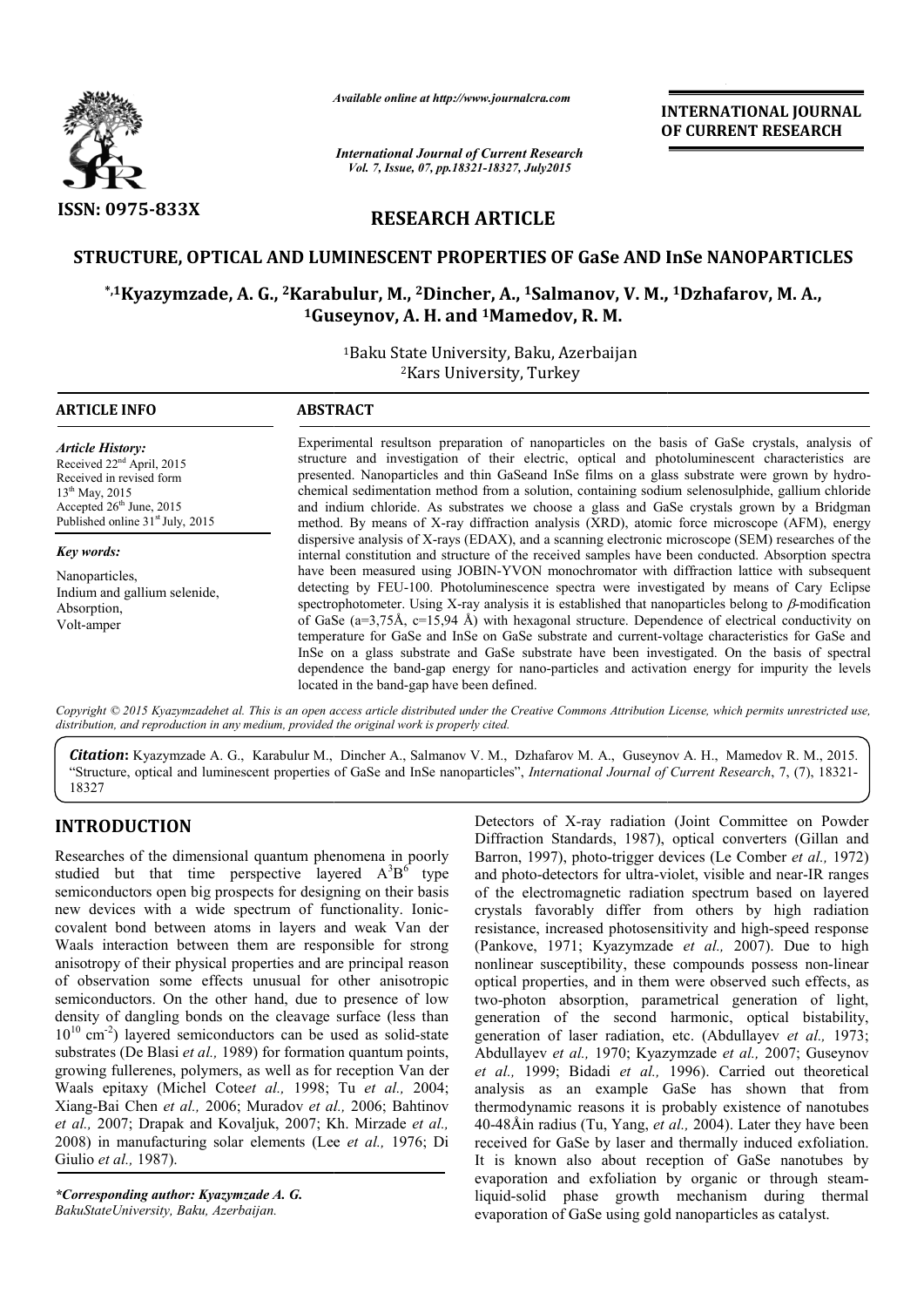

*Available online at http://www.journal http://www.journalcra.com*

*International Journal of Current Research Vol. 7, Issue, 07, pp.18321-18327, July2015*

**INTERNATIONAL JOURNAL OF CURRENT RESEARCH** 

# **RESEARCH ARTICLE**

### **STRUCTURE, OPTICAL AND LUMINESCENT PROPERTIES OF GaSe AND InSe LUMINESCENT PROPERTIES OF GaSe NANOPARTICLES**

### **\*,1Kyazymzade, A. G., 2Karabulur Karabulur, M., 2Dincher, A., 1Salmanov, V. M., M., 1Dzhafarov, M. A., 1Guseynov Guseynov, A. H. and 1Mamedov, R. M.**

1Baku State University, Baku, Azerbaijan 2Kars University, Turkey

### **ARTICLE INFO ABSTRACT**

*Article History:* Received 22<sup>nd</sup> April, 2015 Received in revised form  $13^{th}$  May, 2015 Accepted  $26<sup>th</sup>$  June, 2015 Published online 31<sup>st</sup> July, 2015

*Key words:* Nanoparticles, Indium and gallium selenide, Absorption, Volt-amper

Experimental resultson preparation of nanoparticles on the basis of GaSe crystals, analysis of Experimental resultson preparation of nanoparticles on the basis of GaSe crystals, analysis of structure and investigation of their electric, optical and photoluminescent characteristics are presented. Nanoparticles and thin GaSeand InSe films on a glass substrate were grown by hydrochemical sedimentation method from a solution, containing sodium selenosulphide, selenosulphide, gallium chloride and indium chloride. As substrates we choose a glass and GaSe crystals grown by a Bridgman method. By means of X X-ray diffraction analysis (XRD), atomic force microscope (AFM), energy dispersive analysis of X X-rays (EDAX), and a scanning electronic microscope (SEM) researches of the method. By means of X-ray diffraction analysis (XRD), atomic force microscope (AFM), energy dispersive analysis of X-rays (EDAX), and a scanning electronic microscope (SEM) researches of the internal constitution and struc have been measured using JOBIN-YVON monochromator with diffraction lattice with subsequent detecting by FEU FEU-100. Photoluminescence spectra were investigated by means of Cary Eclipse have been measured using JOBIN-YVON monochromator with diffraction lattice with subsequent detecting by FEU-100. Photoluminescence spectra were investigated by means of Cary Eclipse spectrophotometer. Using X-ray analysis of GaSe (а=3,75 (а=3,75Å, с=15,94 Å) with hexagonal structure. Dependence of electrical conductivity on of GaSe (a=3,75Å, c=15,94 Å) with hexagonal structure. Dependence of electrical conductivity on temperature for GaSe and InSe on GaSe substrate and current-voltage characteristics for GaSe and InSe on a glass substrate and GaSe substrate have been investigated. On the basis of spectral In Se on a glass substrate and GaSe substrate have been investigated. On the basis of spectral dependence the band-gap energy for nano-particles and activation energy for impurity the levels located in the band-gap have been defined.

Copyright © 2015 Kyazymzadehet al. This is an open access article distributed under the Creative Commons Attribution License, which permits unrestricted use, *distribution, and reproduction in any medium, provided the original work is properly cited.*

Citation: Kyazymzade A. G., Karabulur M., Dincher A., Salmanov V. M., Dzhafarov M. A., Guseynov A. H., Mamedov R. M., 2015. "Structure, optical and luminescent properties of GaSe and InSe nanoparticles", *International Journal of Current Research*, 7, (7), 18321-18327

## **INTRODUCTION**

Researches of the dimensional quantum phenomena in poorly studied but that time perspective layered  $A^{3}B^{6}$  type semiconductors open big prospects for designing on their basis new devices with a wide spectrum of functionality. Ioniccovalent bond between atoms in layers and weak Van der Waals interaction between them are responsible for strong anisotropy of their physical properties and are principal reason of observation some effects unusual for other anisotropic semiconductors. On the other hand, due to presence of low density of dangling bonds on the cleavage surface (less than  $10^{10}$  cm<sup>-2</sup>) layered semiconductors can be used as solid-state substrates (De Blasi *et al.*, 1989) for formation quantum points, growing fullerenes, polymers, as well as for reception Van der Waals epitaxy (Michel Cote*et al.,* 1998; Tu *et al.,* 2004; Xiang-Bai Chen *et al.,* 2006; Muradov *et al.,* 2006; Bahtinov *et al.,* 2007; Drapak and Kovaljuk, 2007; Kh. Mirzade *et al.,* 2008) in manufacturing solar elements (Lee *et al.,* 1976; Di Giulio *et al.,* 1987).

*\*Corresponding author: Kyazymzade A. G. BakuStateUniversity, Baku, Azerbaijan.* 

Detectors of X-ray radiation (Joint Committee on Powder Diffraction Standards, 1987), optical converters (Gillan and Diffraction Standards, 1987), optical converters (Gillan and Barron, 1997), photo-trigger devices (Le Comber *et al.*, 1972) and photo-detectors for ultra-violet, visible and near-IR ranges of the electromagnetic radiation spectrum based on layered crystals favorably differ from others by high radiation crystals favorably differ from others by high radiation resistance, increased photosensitivity and high-speed response (Pankove, 1971; Kyazymzade et al., 2007). Due to high nonlinear susceptibility, these compounds possess non-linear optical properties, and in them were observed such effects, as two-photon absorption, parametrical generation of light, optical properties, and in them were observed such effects, as<br>two-photon absorption, parametrical generation of light,<br>generation of the second harmonic, optical bistability, generation of laser radiation, etc. (Abdullayev *et al.,* 1973; Abdullayev *et al.,* 1970; Kyaz 1970; Kyazymzade *et al.,* 2007; Guseynov *et al.,* 1999; Bidadi *et al.,* 1996). Carried out theoretical analysis as an example GaSe has shown that from analysis as an example GaSe has shown that from thermodynamic reasons it is probably existence of nanotubes 40-48Åin radius (Tu, Yang, *et al.,* 2004). Later they have been received for GaSe by laser and thermally induced exfoliation. It is known also about reception of GaSe nanotubes by received for GaSe by laser and thermally induced exfoliation.<br>It is known also about reception of GaSe nanotubes by<br>evaporation and exfoliation by organic or through steamliquid-solid phase growth mechanism during thermal evaporation of GaSe using gold nanoparticles as catalyst. INTERNATIONAL JOURNAL<br>
For Exercector<br>
For CURRENT RESEARCH<br>
OF CURRENT RESEARCH<br>
127, Jug2015<br>
171. Lug2015<br>
171. Lug2015<br>
171. Lug2015<br>
171. Lug2015<br>
171. Lug2015<br>
171. Lug2015<br>
171. Lug2015<br>
171. Lug2015<br>
171. Baku, Az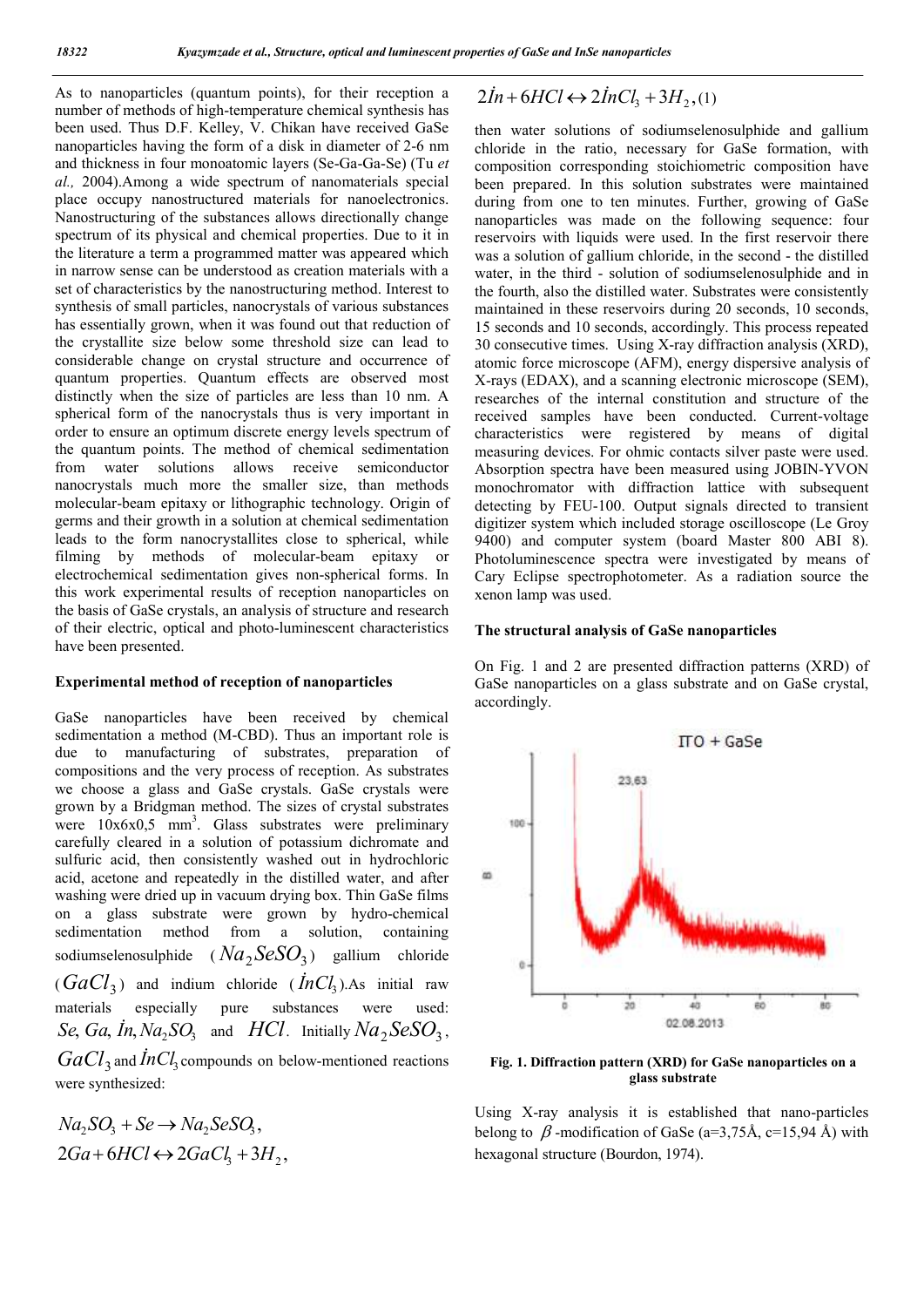As to nanoparticles (quantum points), for their reception a number of methods of high-temperature chemical synthesis has been used. Thus D.F. Kelley, V. Chikan have received GaSe nanoparticles having the form of a disk in diameter of 2-6 nm and thickness in four monoatomic layers (Se-Ga-Ga-Se) (Tu *et al.,* 2004).Among a wide spectrum of nanomaterials special place occupy nanostructured materials for nanoelectronics. Nanostructuring of the substances allows directionally change spectrum of its physical and chemical properties. Due to it in the literature a term a programmed matter was appeared which in narrow sense can be understood as creation materials with a set of characteristics by the nanostructuring method. Interest to synthesis of small particles, nanocrystals of various substances has essentially grown, when it was found out that reduction of the crystallite size below some threshold size can lead to considerable change on crystal structure and occurrence of quantum properties. Quantum effects are observed most distinctly when the size of particles are less than 10 nm. A spherical form of the nanocrystals thus is very important in order to ensure an optimum discrete energy levels spectrum of the quantum points. The method of chemical sedimentation from water solutions allows receive semiconductor nanocrystals much more the smaller size, than methods molecular-beam epitaxy or lithographic technology. Origin of germs and their growth in a solution at chemical sedimentation leads to the form nanocrystallites close to spherical, while filming by methods of molecular-beam epitaxy or electrochemical sedimentation gives non-spherical forms. In this work experimental results of reception nanoparticles on the basis of GaSe crystals, an analysis of structure and research of their electric, optical and photo-luminescent characteristics have been presented.

#### **Experimental method of reception of nanoparticles**

GaSe nanoparticles have been received by chemical sedimentation a method (M-CBD). Thus an important role is due to manufacturing of substrates, preparation of compositions and the very process of reception. As substrates we choose a glass and GaSe crystals. GaSe crystals were grown by a Bridgman method. The sizes of crystal substrates were  $10x6x0,5$  mm<sup>3</sup>. Glass substrates were preliminary carefully cleared in a solution of potassium dichromate and sulfuric acid, then consistently washed out in hydrochloric acid, acetone and repeatedly in the distilled water, and after washing were dried up in vacuum drying box. Thin GaSe films on a glass substrate were grown by hydro-chemical sedimentation method from a solution, containing sodiumselenosulphide  $(Na_2$   $SeSO<sub>3</sub>)$  gallium chloride  $(GaCl<sub>3</sub>)$  and indium chloride  $(\textit{In}Cl<sub>3</sub>)$ . As initial raw materials especially pure substances were used:  $\mathcal{S}e$ ,  $\mathcal{G}a$ ,  $\mathcal{I}n$ ,  $\mathcal{N}a$ <sub>2</sub>,  $\mathcal{S}O$ <sub>3</sub>, and  $\mathcal{H}Cl$ . Initially  $\mathcal{N}a$ <sub>2</sub>,  $\mathcal{S}eSO$ <sub>3</sub>,  $GaCl<sub>3</sub>$  and  $\dot{I}nCl<sub>3</sub>$  compounds on below-mentioned reactions

were synthesized:

$$
Na_2SO_3 + Se \rightarrow Na_2SeSO_3,
$$
  

$$
2Ga + 6HCl \leftrightarrow 2GaCl_3 + 3H_2,
$$

# $2In + 6HCl \leftrightarrow 2InCl_1 + 3H_2$ , (1)

then water solutions of sodiumselenosulphide and gallium chloride in the ratio, necessary for GaSe formation, with composition corresponding stoichiometric composition have been prepared. In this solution substrates were maintained during from one to ten minutes. Further, growing of GaSe nanoparticles was made on the following sequence: four reservoirs with liquids were used. In the first reservoir there was a solution of gallium chloride, in the second - the distilled water, in the third - solution of sodiumselenosulphide and in the fourth, also the distilled water. Substrates were consistently maintained in these reservoirs during 20 seconds, 10 seconds, 15 seconds and 10 seconds, accordingly. This process repeated 30 consecutive times. Using X-ray diffraction analysis (XRD), atomic force microscope (AFM), energy dispersive analysis of X-rays (EDAX), and a scanning electronic microscope (SEM), researches of the internal constitution and structure of the received samples have been conducted. Current-voltage characteristics were registered by means of digital measuring devices. For ohmic contacts silver paste were used. Absorption spectra have been measured using JOBIN-YVON monochromator with diffraction lattice with subsequent detecting by FEU-100. Output signals directed to transient digitizer system which included storage oscilloscope (Le Groy 9400) and computer system (board Master 800 ABI 8). Photoluminescence spectra were investigated by means of Cary Eclipse spectrophotometer. As a radiation source the xenon lamp was used.

#### **The structural analysis of GaSe nanoparticles**

On Fig. 1 and 2 are presented diffraction patterns (XRD) of GaSe nanoparticles on a glass substrate and on GaSe crystal, accordingly.



**Fig. 1. Diffraction pattern (XRD) for GaSe nanoparticles on a glass substrate**

Using X-ray analysis it is established that nano-particles belong to  $\beta$ -modification of GaSe (a=3,75Å, c=15,94Å) with hexagonal structure (Bourdon, 1974).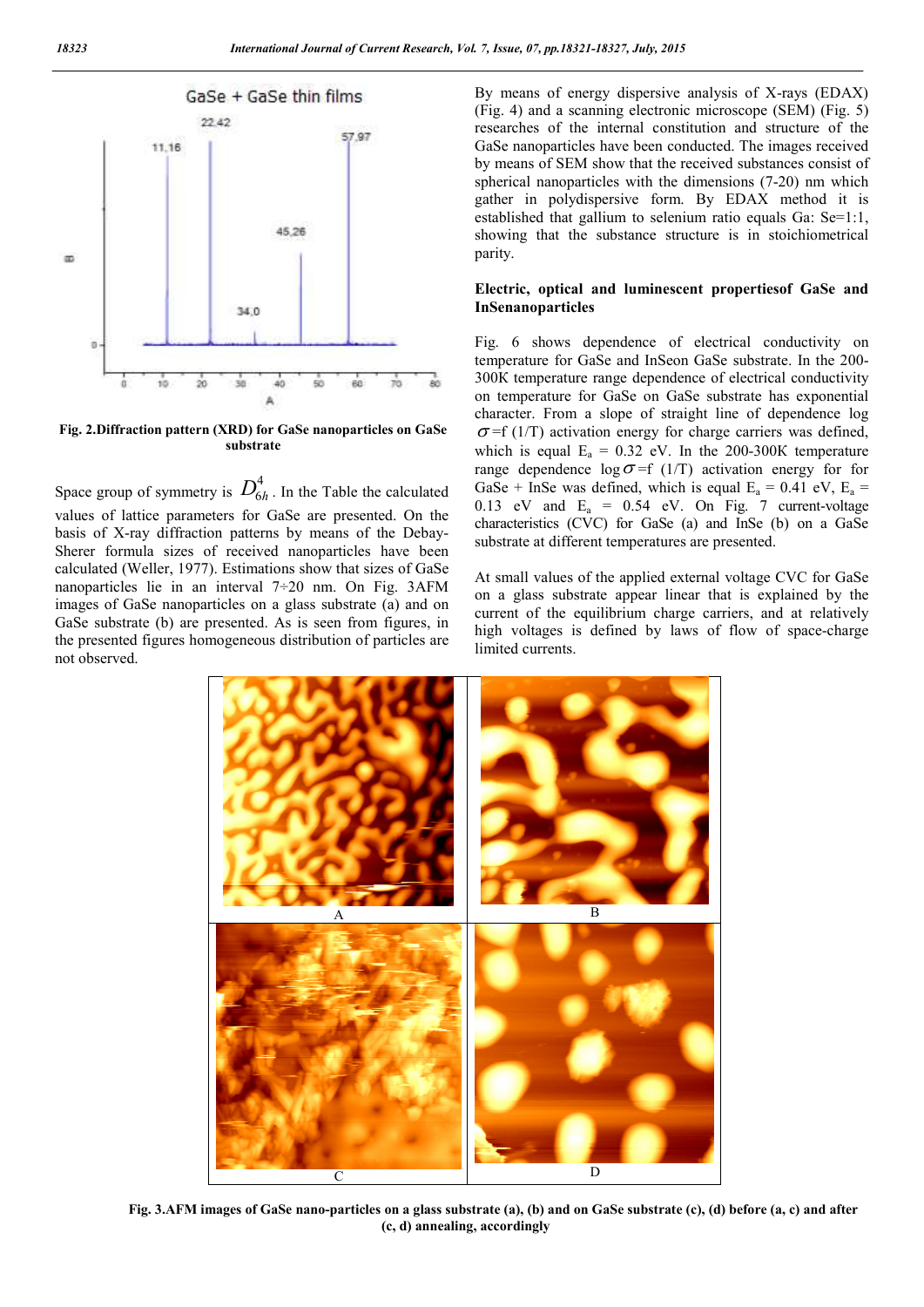

**Fig. 2.Diffraction pattern (XRD) for GaSe nanoparticles on GaSe substrate**

Space group of symmetry is  $D_{6h}^4$ . In the Table the calculated values of lattice parameters for GaSe are presented. On the basis of X-ray diffraction patterns by means of the Debay-Sherer formula sizes of received nanoparticles have been calculated (Weller, 1977). Estimations show that sizes of GaSe nanoparticles lie in an interval 7÷20 nm. On Fig. 3AFM images of GaSe nanoparticles on a glass substrate (a) and on GaSe substrate (b) are presented. As is seen from figures, in the presented figures homogeneous distribution of particles are not observed.

By means of energy dispersive analysis of X-rays (EDAX) (Fig. 4) and a scanning electronic microscope (SEM) (Fig. 5) researches of the internal constitution and structure of the GaSe nanoparticles have been conducted. The images received by means of SEM show that the received substances consist of spherical nanoparticles with the dimensions (7-20) nm which gather in polydispersive form. By EDAX method it is established that gallium to selenium ratio equals Ga: Se=1:1, showing that the substance structure is in stoichiometrical parity.

#### **Electric, optical and luminescent propertiesof GaSe and InSenanoparticles**

Fig. 6 shows dependence of electrical conductivity on temperature for GaSe and InSeon GaSe substrate. In the 200- 300К temperature range dependence of electrical conductivity on temperature for GaSe on GaSe substrate has exponential character. From a slope of straight line of dependence log  $\sigma$ =f (1/T) activation energy for charge carriers was defined, which is equal  $E_a = 0.32$  eV. In the 200-300K temperature range dependence  $\log \sigma = f(1/T)$  activation energy for for GaSe + InSe was defined, which is equal  $E_a = 0.41$  eV,  $E_a =$ 0.13 eV and  $E_a = 0.54$  eV. On Fig. 7 current-voltage characteristics (CVC) for GaSe (a) and InSe (b) on a GaSe substrate at different temperatures are presented.

At small values of the applied external voltage CVC for GaSe on a glass substrate appear linear that is explained by the current of the equilibrium charge carriers, and at relatively high voltages is defined by laws of flow of space-charge limited currents.



**Fig. 3.АFM images of GaSe nano-particles on a glass substrate (a), (b) and on GaSe substrate (c), (d) before (a, c) and after (c, d) annealing, accordingly**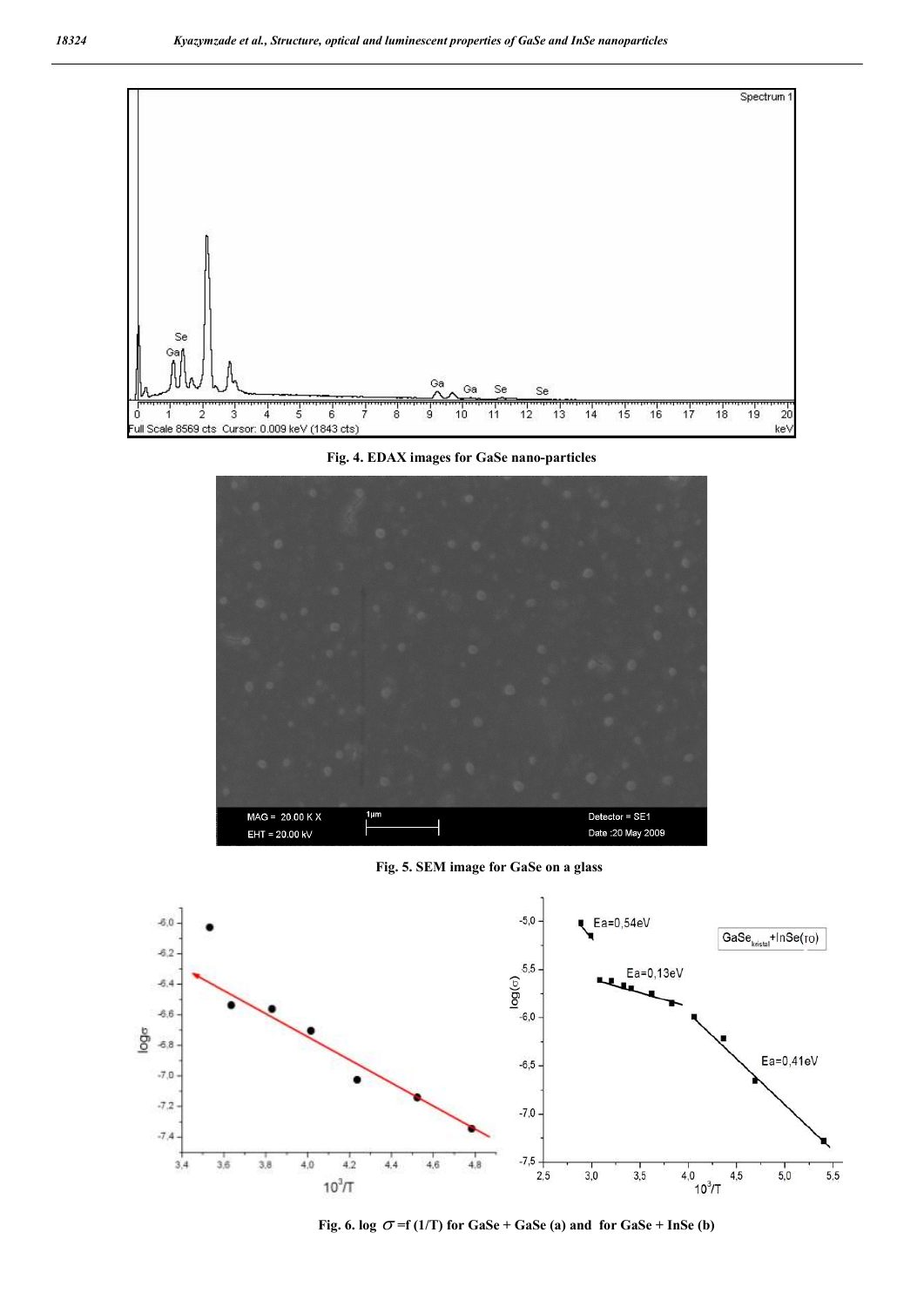

**Fig. 4. EDAX images for GaSe nano-particles**



**Fig. 5. SEM image for GaSe on a glass**



**Fig. 6.**  $\log \sigma = f(1/T)$  for  $\text{Gase} + \text{Gase}$  (a) and for  $\text{Gase} + \text{InSe}$  (b)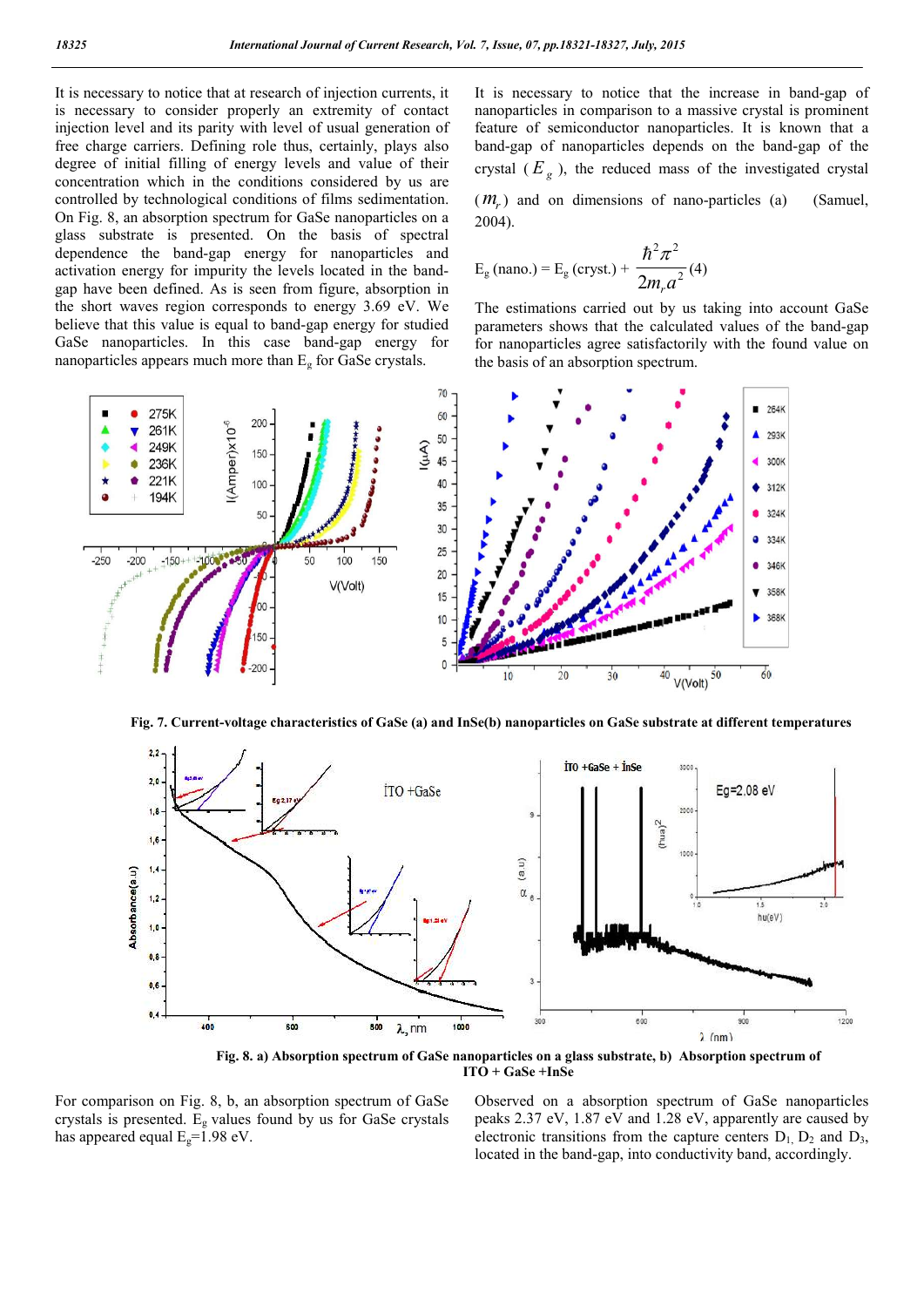It is necessary to notice that at research of injection currents, it is necessary to consider properly an extremity of contact injection level and its parity with level of usual generation of free charge carriers. Defining role thus, certainly, plays also degree of initial filling of energy levels and value of their concentration which in the conditions considered by us are controlled by technological conditions of films sedimentation. On Fig. 8, an absorption spectrum for GaSe nanoparticles on a glass substrate is presented. On the basis of spectral dependence the band-gap energy for nanoparticles and activation energy for impurity the levels located in the bandgap have been defined. As is seen from figure, absorption in the short waves region corresponds to energy 3.69 eV. We believe that this value is equal to band-gap energy for studied GaSe nanoparticles. In this case band-gap energy for nanoparticles appears much more than  $E<sub>g</sub>$  for GaSe crystals.

It is necessary to notice that the increase in band-gap of nanoparticles in comparison to a massive crystal is prominent feature of semiconductor nanoparticles. It is known that a band-gap of nanoparticles depends on the band-gap of the crystal  $(E_g)$ , the reduced mass of the investigated crystal

(*m<sub>r</sub>*) and on dimensions of nano-particles (a) (Samuel, 2004).

$$
E_{\rm g}
$$
 (nano.) =  $E_{\rm g}$  (cryst.) +  $\frac{\hbar^2 \pi^2}{2m_r a^2}$  (4)

The estimations carried out by us taking into account GaSe parameters shows that the calculated values of the band-gap for nanoparticles agree satisfactorily with the found value on the basis of an absorption spectrum.



**Fig. 7. Current-voltage characteristics of GaSe (a) and InSe(b) nanoparticles on GaSe substrate at different temperatures**



**Fig. 8. a) Absorption spectrum of GaSe nanoparticles on a glass substrate, b) Absorption spectrum of ITO + GaSe +InSe**

For comparison on Fig. 8, b, an absorption spectrum of GaSe crystals is presented.  $E_g$  values found by us for GaSe crystals has appeared equal  $E_g=1.98$  eV.

Observed on a absorption spectrum of GaSe nanoparticles peaks 2.37 eV, 1.87 eV and 1.28 eV, apparently are caused by electronic transitions from the capture centers  $D_1$ ,  $D_2$  and  $D_3$ , located in the band-gap, into conductivity band, accordingly.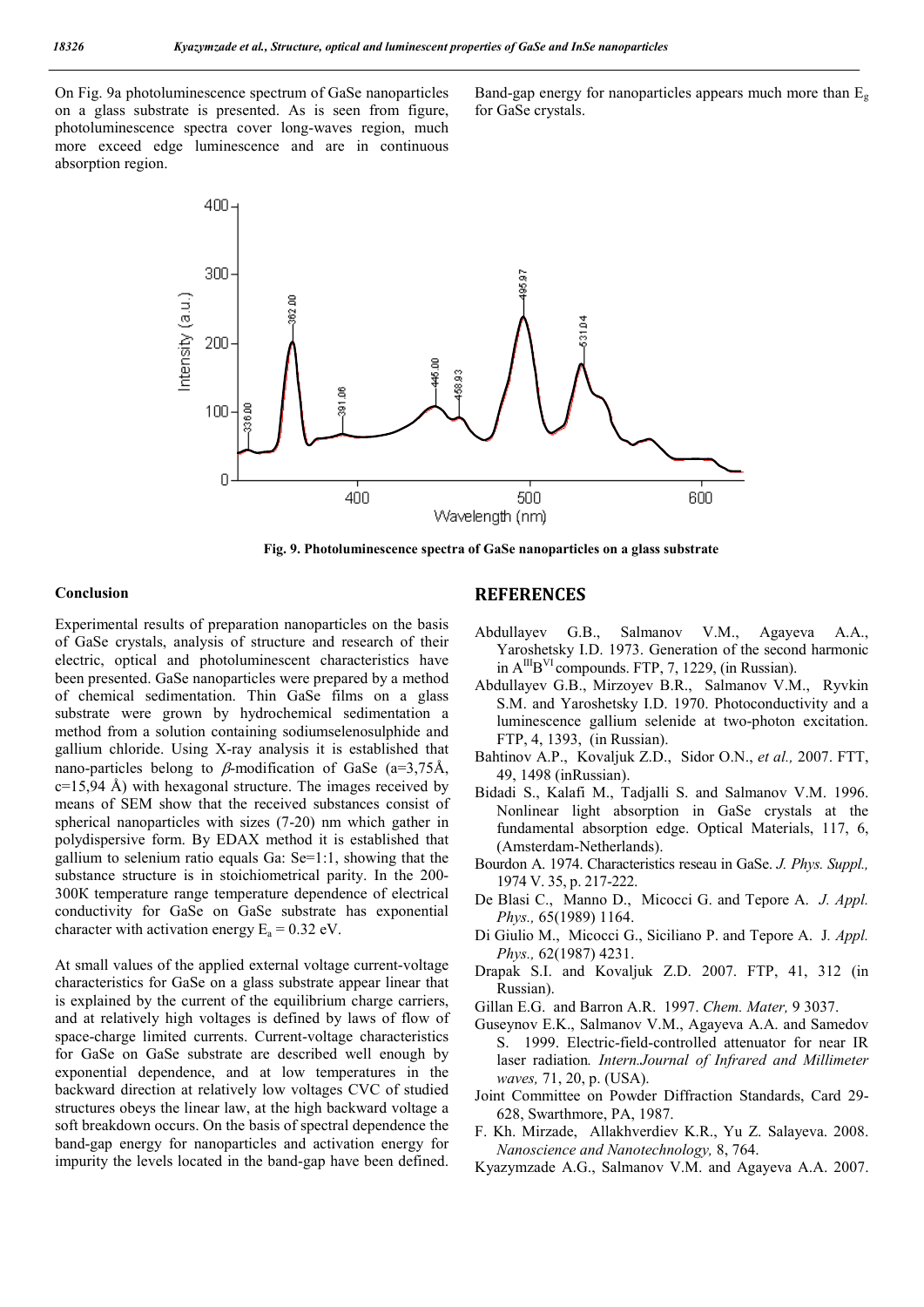On Fig. 9a photoluminescence spectrum of GaSe nanoparticles on a glass substrate is presented. As is seen from figure, photoluminescence spectra cover long-waves region, much more exceed edge luminescence and are in continuous absorption region.

Band-gap energy for nanoparticles appears much more than Eg for GaSe crystals.



**Fig. 9. Photoluminescence spectra of GaSe nanoparticles on a glass substrate**

#### **Conclusion**

Experimental results of preparation nanoparticles on the basis of GaSe crystals, analysis of structure and research of their electric, optical and photoluminescent characteristics have been presented. GaSe nanoparticles were prepared by a method of chemical sedimentation. Thin GaSe films on a glass substrate were grown by hydrochemical sedimentation a method from a solution containing sodiumselenosulphide and gallium chloride. Using X-ray analysis it is established that nano-particles belong to  $\beta$ -modification of GaSe (a=3,75Å,  $c=15,94$  Å) with hexagonal structure. The images received by means of SEM show that the received substances consist of spherical nanoparticles with sizes (7-20) nm which gather in polydispersive form. By EDAX method it is established that gallium to selenium ratio equals Ga: Se=1:1, showing that the substance structure is in stoichiometrical parity. In the 200- 300К temperature range temperature dependence of electrical conductivity for GaSe on GaSe substrate has exponential character with activation energy  $E_a = 0.32$  eV.

At small values of the applied external voltage current-voltage characteristics for GaSe on a glass substrate appear linear that is explained by the current of the equilibrium charge carriers, and at relatively high voltages is defined by laws of flow of space-charge limited currents. Current-voltage characteristics for GaSe on GaSe substrate are described well enough by exponential dependence, and at low temperatures in the backward direction at relatively low voltages CVC of studied structures obeys the linear law, at the high backward voltage a soft breakdown occurs. On the basis of spectral dependence the band-gap energy for nanoparticles and activation energy for impurity the levels located in the band-gap have been defined.

### **REFERENCES**

- Abdullayev G.B., Salmanov V.M., Agayeva A.A., Yaroshetsky I.D. 1973. Generation of the second harmonic in  $A^{III}B^{VI}$  compounds. FTP, 7, 1229, (in Russian).
- Abdullayev G.B., Mirzoyev B.R., Salmanov V.M., Ryvkin S.M. and Yaroshetsky I.D. 1970. Photoconductivity and a luminescence gallium selenide at two-photon excitation. FTP, 4, 1393, (in Russian).
- Bahtinov A.P., Kovaljuk Z.D., Sidor O.N., *et al.,* 2007. FTT, 49, 1498 (inRussian).
- Bidadi S., Kalafi M., Tadjalli S. and Salmanov V.M. 1996. Nonlinear light absorption in GaSe crystals at the fundamental absorption edge. Optical Materials, 117, 6, (Amsterdam-Netherlands).
- Bourdon A. 1974. Characteristics reseau in GaSe. *J. Phys. Suppl.,* 1974 V. 35, p. 217-222.
- De Blasi C., Manno D., Micocci G. and Tepore A. *J. Appl. Phys.,* 65(1989) 1164.
- Di Giulio M., Micocci G., Siciliano P. and Tepore A. J*. Appl. Phys.,* 62(1987) 4231.
- Drapak S.I. and Kovaljuk Z.D. 2007. FTP, 41, 312 (in Russian).
- Gillan E.G. and Barron A.R. 1997. *Chem. Mater,* 9 3037.
- Guseynov E.K., Salmanov V.M., Аgаyеvа А.А. and Samedov S. 1999. Electric-field-controlled attenuator for near IR laser radiation*. Intern.Journal of Infrared and Millimeter waves,* 71, 20, p. (USA).
- Joint Committee on Powder Diffraction Standards, Card 29- 628, Swarthmore, PA, 1987.
- F. Kh. Mirzade, Allakhverdiev K.R., Yu Z. Salayeva. 2008. *Nanoscience and Nanotechnology,* 8, 764.
- Kyazymzade A.G., Salmanov V.M. and Agayeva A.A. 2007.